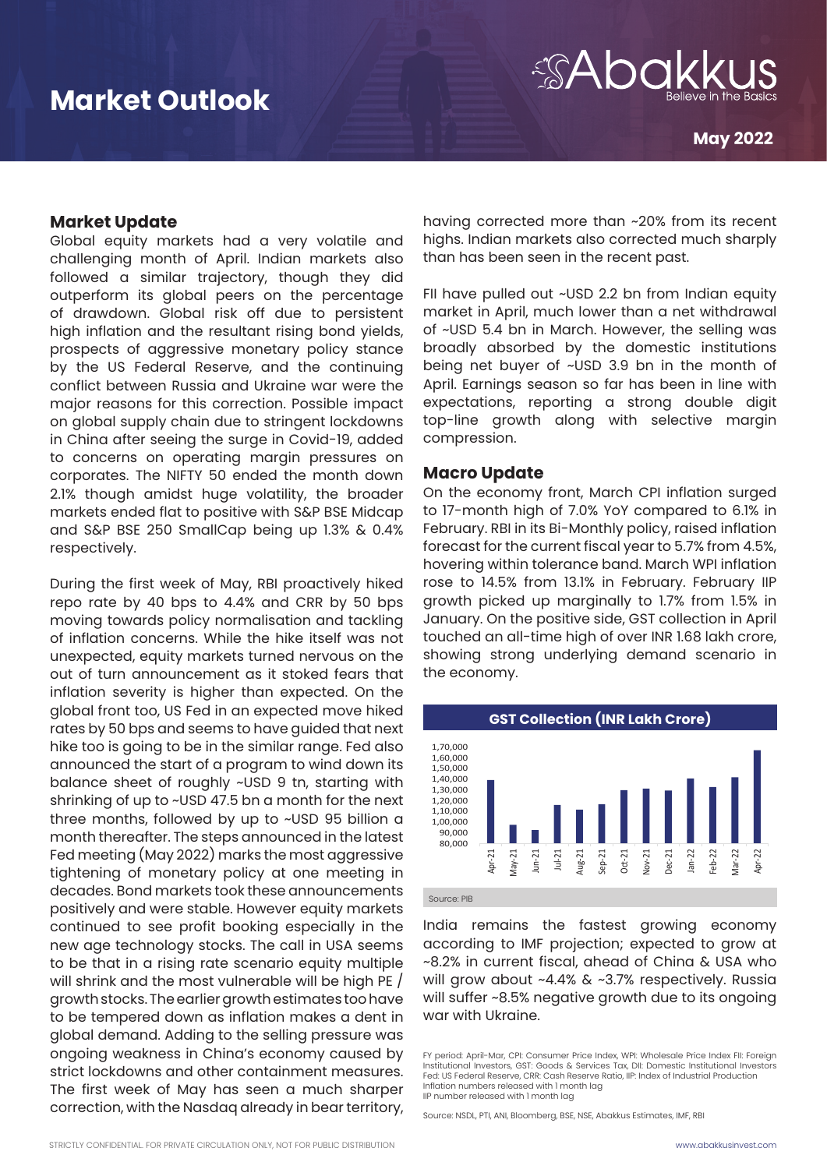

### **Market Update**

Global equity markets had a very volatile and challenging month of April. Indian markets also followed a similar trajectory, though they did outperform its global peers on the percentage of drawdown. Global risk off due to persistent high inflation and the resultant rising bond yields, prospects of aggressive monetary policy stance by the US Federal Reserve, and the continuing conflict between Russia and Ukraine war were the major reasons for this correction. Possible impact on global supply chain due to stringent lockdowns in China after seeing the surge in Covid-19, added to concerns on operating margin pressures on corporates. The NIFTY 50 ended the month down 2.1% though amidst huge volatility, the broader markets ended flat to positive with S&P BSE Midcap and S&P BSE 250 SmallCap being up 1.3% & 0.4% respectively.

During the first week of May, RBI proactively hiked repo rate by 40 bps to 4.4% and CRR by 50 bps moving towards policy normalisation and tackling of inflation concerns. While the hike itself was not unexpected, equity markets turned nervous on the out of turn announcement as it stoked fears that inflation severity is higher than expected. On the global front too, US Fed in an expected move hiked rates by 50 bps and seems to have guided that next hike too is going to be in the similar range. Fed also announced the start of a program to wind down its balance sheet of roughly ~USD 9 tn, starting with shrinking of up to ~USD 47.5 bn a month for the next three months, followed by up to ~USD 95 billion a month thereafter. The steps announced in the latest Fed meeting (May 2022) marks the most aggressive tightening of monetary policy at one meeting in decades. Bond markets took these announcements positively and were stable. However equity markets continued to see profit booking especially in the new age technology stocks. The call in USA seems to be that in a rising rate scenario equity multiple will shrink and the most vulnerable will be high PE / growth stocks. The earlier growth estimates too have to be tempered down as inflation makes a dent in global demand. Adding to the selling pressure was ongoing weakness in China's economy caused by strict lockdowns and other containment measures. The first week of May has seen a much sharper correction, with the Nasdaq already in bear territory,

having corrected more than ~20% from its recent highs. Indian markets also corrected much sharply than has been seen in the recent past.

FII have pulled out ~USD 2.2 bn from Indian equity market in April, much lower than a net withdrawal of ~USD 5.4 bn in March. However, the selling was broadly absorbed by the domestic institutions being net buyer of ~USD 3.9 bn in the month of April. Earnings season so far has been in line with expectations, reporting a strong double digit top-line growth along with selective margin compression.

### **Macro Update**

On the economy front, March CPI inflation surged to 17-month high of 7.0% YoY compared to 6.1% in February. RBI in its Bi-Monthly policy, raised inflation forecast for the current fiscal year to 5.7% from 4.5%, hovering within tolerance band. March WPI inflation rose to 14.5% from 13.1% in February. February IIP growth picked up marginally to 1.7% from 1.5% in January. On the positive side, GST collection in April touched an all-time high of over INR 1.68 lakh crore, showing strong underlying demand scenario in the economy.



Source: PIB Source: PIB

India remains the fastest growing economy according to IMF projection; expected to grow at ~8.2% in current fiscal, ahead of China & USA who will grow about ~4.4% & ~3.7% respectively. Russia will suffer ~8.5% negative growth due to its ongoing war with Ukraine. Ukraine.  $\frac{3}{3}$  $\overline{r}$ 

IIP number released with 1 month lag -6% Inflation numbers released with 1 month lag -4% Fed: US Federal Reserve, CRR: Cash Reserve Ratio, IIP: Index of Industrial Production per 0% FY period: April-Mar, CPI: Consumer Price Index, WPI: Wholesale Price Index FII: Foreign Institutional Investors, GST: Goods & Services Tax, DII: Domestic Institutional Investors

-8.5% -10% Source: NSDL, PTI, ANI, Bloomberg, BSE, NSE, Abakkus Estimates, IMF, RB<br>MAAM O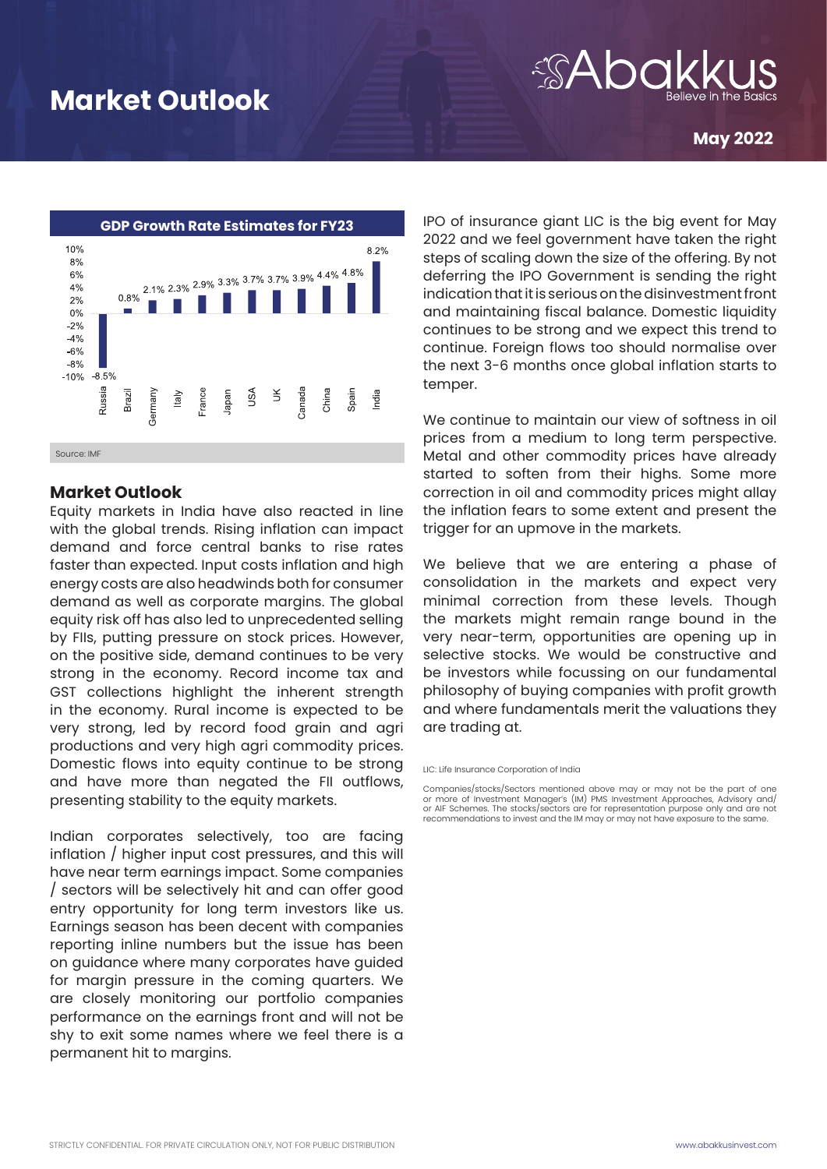## *ADC*

**May 2022**



### **Market Outlook**

Equity markets in India have also reacted in line with the global trends. Rising inflation can impact demand and force central banks to rise rates faster than expected. Input costs inflation and high energy costs are also headwinds both for consumer demand as well as corporate margins. The global equity risk off has also led to unprecedented selling by FIIs, putting pressure on stock prices. However, on the positive side, demand continues to be very strong in the economy. Record income tax and GST collections highlight the inherent strength in the economy. Rural income is expected to be very strong, led by record food grain and agri productions and very high agri commodity prices. Domestic flows into equity continue to be strong and have more than negated the FII outflows, presenting stability to the equity markets.

Indian corporates selectively, too are facing inflation / higher input cost pressures, and this will have near term earnings impact. Some companies / sectors will be selectively hit and can offer good entry opportunity for long term investors like us. Earnings season has been decent with companies reporting inline numbers but the issue has been on guidance where many corporates have guided for margin pressure in the coming quarters. We are closely monitoring our portfolio companies performance on the earnings front and will not be shy to exit some names where we feel there is a permanent hit to margins.

IPO of insurance giant LIC is the big event for May 2022 and we feel government have taken the right steps of scaling down the size of the offering. By not deferring the IPO Government is sending the right indication that it is serious on the disinvestment front and maintaining fiscal balance. Domestic liquidity continues to be strong and we expect this trend to continue. Foreign flows too should normalise over the next 3-6 months once global inflation starts to temper.

We continue to maintain our view of softness in oil prices from a medium to long term perspective. Metal and other commodity prices have already started to soften from their highs. Some more correction in oil and commodity prices might allay the inflation fears to some extent and present the trigger for an upmove in the markets.

We believe that we are entering a phase of consolidation in the markets and expect very minimal correction from these levels. Though the markets might remain range bound in the very near-term, opportunities are opening up in selective stocks. We would be constructive and be investors while focussing on our fundamental philosophy of buying companies with profit growth and where fundamentals merit the valuations they are trading at.

LIC: Life Insurance Corporation of India

Companies/stocks/Sectors mentioned above may or may not be the part of one or more of Investment Manager's (IM) PMS Investment Approaches, Advisory and/ or AIF Schemes. The stocks/sectors are for representation purpose only and are not recommendations to invest and the IM may or may not have exposure to the same.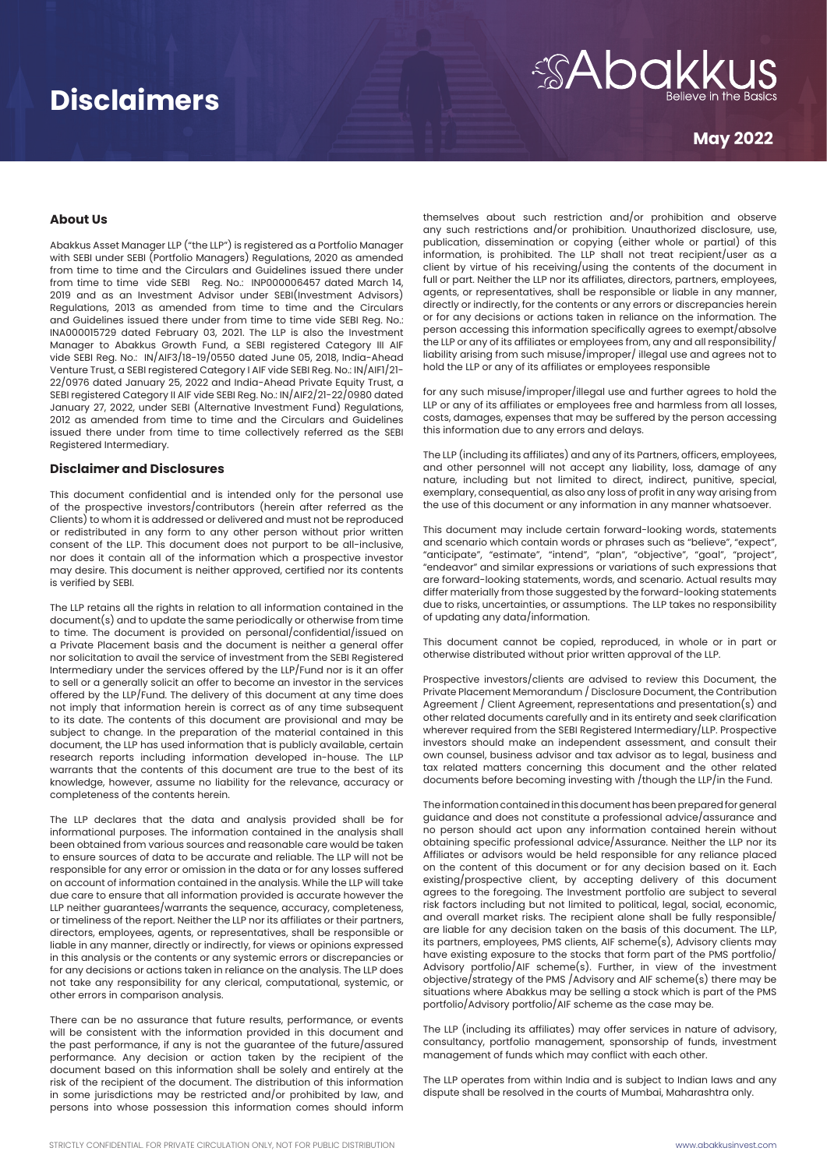## **Disclaimers**

# *SAbakku*

### **May 2022**

### **About Us**

Abakkus Asset Manager LLP ("the LLP") is registered as a Portfolio Manager with SEBI under SEBI (Portfolio Managers) Regulations, 2020 as amended from time to time and the Circulars and Guidelines issued there under from time to time vide SEBI Reg. No.: INP000006457 dated March 14, 2019 and as an Investment Advisor under SEBI(Investment Advisors) Regulations, 2013 as amended from time to time and the Circulars and Guidelines issued there under from time to time vide SEBI Reg. No.: INA000015729 dated February 03, 2021. The LLP is also the Investment Manager to Abakkus Growth Fund, a SEBI registered Category III AIF vide SEBI Reg. No.: IN/AIF3/18-19/0550 dated June 05, 2018, India-Ahead Venture Trust, a SEBI registered Category I AIF vide SEBI Reg. No.: IN/AIF1/21- 22/0976 dated January 25, 2022 and India-Ahead Private Equity Trust, a SEBI registered Category II AIF vide SEBI Reg. No.: IN/AIF2/21-22/0980 dated January 27, 2022, under SEBI (Alternative Investment Fund) Regulations, 2012 as amended from time to time and the Circulars and Guidelines issued there under from time to time collectively referred as the SEBI Registered Intermediary.

### **Disclaimer and Disclosures**

This document confidential and is intended only for the personal use of the prospective investors/contributors (herein after referred as the Clients) to whom it is addressed or delivered and must not be reproduced or redistributed in any form to any other person without prior written consent of the LLP. This document does not purport to be all-inclusive, nor does it contain all of the information which a prospective investor may desire. This document is neither approved, certified nor its contents is verified by SEBI.

The LLP retains all the rights in relation to all information contained in the document(s) and to update the same periodically or otherwise from time to time. The document is provided on personal/confidential/issued on a Private Placement basis and the document is neither a general offer nor solicitation to avail the service of investment from the SEBI Registered Intermediary under the services offered by the LLP/Fund nor is it an offer to sell or a generally solicit an offer to become an investor in the services offered by the LLP/Fund. The delivery of this document at any time does not imply that information herein is correct as of any time subsequent to its date. The contents of this document are provisional and may be subject to change. In the preparation of the material contained in this document, the LLP has used information that is publicly available, certain research reports including information developed in-house. The LLP warrants that the contents of this document are true to the best of its knowledge, however, assume no liability for the relevance, accuracy or completeness of the contents herein.

The LLP declares that the data and analysis provided shall be for informational purposes. The information contained in the analysis shall been obtained from various sources and reasonable care would be taken to ensure sources of data to be accurate and reliable. The LLP will not be responsible for any error or omission in the data or for any losses suffered on account of information contained in the analysis. While the LLP will take due care to ensure that all information provided is accurate however the LLP neither guarantees/warrants the sequence, accuracy, completeness, or timeliness of the report. Neither the LLP nor its affiliates or their partners, directors, employees, agents, or representatives, shall be responsible or liable in any manner, directly or indirectly, for views or opinions expressed in this analysis or the contents or any systemic errors or discrepancies or for any decisions or actions taken in reliance on the analysis. The LLP does not take any responsibility for any clerical, computational, systemic, or other errors in comparison analysis.

There can be no assurance that future results, performance, or events will be consistent with the information provided in this document and the past performance, if any is not the guarantee of the future/assured performance. Any decision or action taken by the recipient of the document based on this information shall be solely and entirely at the risk of the recipient of the document. The distribution of this information in some jurisdictions may be restricted and/or prohibited by law, and persons into whose possession this information comes should inform

themselves about such restriction and/or prohibition and observe any such restrictions and/or prohibition. Unauthorized disclosure, use, publication, dissemination or copying (either whole or partial) of this information, is prohibited. The LLP shall not treat recipient/user as a client by virtue of his receiving/using the contents of the document in full or part. Neither the LLP nor its affiliates, directors, partners, employees, agents, or representatives, shall be responsible or liable in any manner, directly or indirectly, for the contents or any errors or discrepancies herein or for any decisions or actions taken in reliance on the information. The person accessing this information specifically agrees to exempt/absolve the LLP or any of its affiliates or employees from, any and all responsibility/ liability arising from such misuse/improper/ illegal use and agrees not to hold the LLP or any of its affiliates or employees responsible

for any such misuse/improper/illegal use and further agrees to hold the LLP or any of its affiliates or employees free and harmless from all losses, costs, damages, expenses that may be suffered by the person accessing this information due to any errors and delays.

The LLP (including its affiliates) and any of its Partners, officers, employees, and other personnel will not accept any liability, loss, damage of any nature, including but not limited to direct, indirect, punitive, special, exemplary, consequential, as also any loss of profit in any way arising from the use of this document or any information in any manner whatsoever.

This document may include certain forward-looking words, statements and scenario which contain words or phrases such as "believe", "expect", "anticipate", "estimate", "intend", "plan", "objective", "goal", "project", "endeavor" and similar expressions or variations of such expressions that are forward-looking statements, words, and scenario. Actual results may differ materially from those suggested by the forward-looking statements due to risks, uncertainties, or assumptions. The LLP takes no responsibility of updating any data/information.

This document cannot be copied, reproduced, in whole or in part or otherwise distributed without prior written approval of the LLP.

Prospective investors/clients are advised to review this Document, the Private Placement Memorandum / Disclosure Document, the Contribution Agreement / Client Agreement, representations and presentation(s) and other related documents carefully and in its entirety and seek clarification wherever required from the SEBI Registered Intermediary/LLP. Prospective investors should make an independent assessment, and consult their own counsel, business advisor and tax advisor as to legal, business and tax related matters concerning this document and the other related documents before becoming investing with /though the LLP/in the Fund.

The information contained in this document has been prepared for general guidance and does not constitute a professional advice/assurance and no person should act upon any information contained herein without obtaining specific professional advice/Assurance. Neither the LLP nor its Affiliates or advisors would be held responsible for any reliance placed on the content of this document or for any decision based on it. Each existing/prospective client, by accepting delivery of this document agrees to the foregoing. The Investment portfolio are subject to several risk factors including but not limited to political, legal, social, economic, and overall market risks. The recipient alone shall be fully responsible/ are liable for any decision taken on the basis of this document. The LLP, its partners, employees, PMS clients, AIF scheme(s), Advisory clients may have existing exposure to the stocks that form part of the PMS portfolio/ Advisory portfolio/AIF scheme(s). Further, in view of the investment objective/strategy of the PMS /Advisory and AIF scheme(s) there may be situations where Abakkus may be selling a stock which is part of the PMS portfolio/Advisory portfolio/AIF scheme as the case may be.

The LLP (including its affiliates) may offer services in nature of advisory, consultancy, portfolio management, sponsorship of funds, investment management of funds which may conflict with each other.

The LLP operates from within India and is subject to Indian laws and any dispute shall be resolved in the courts of Mumbai, Maharashtra only.